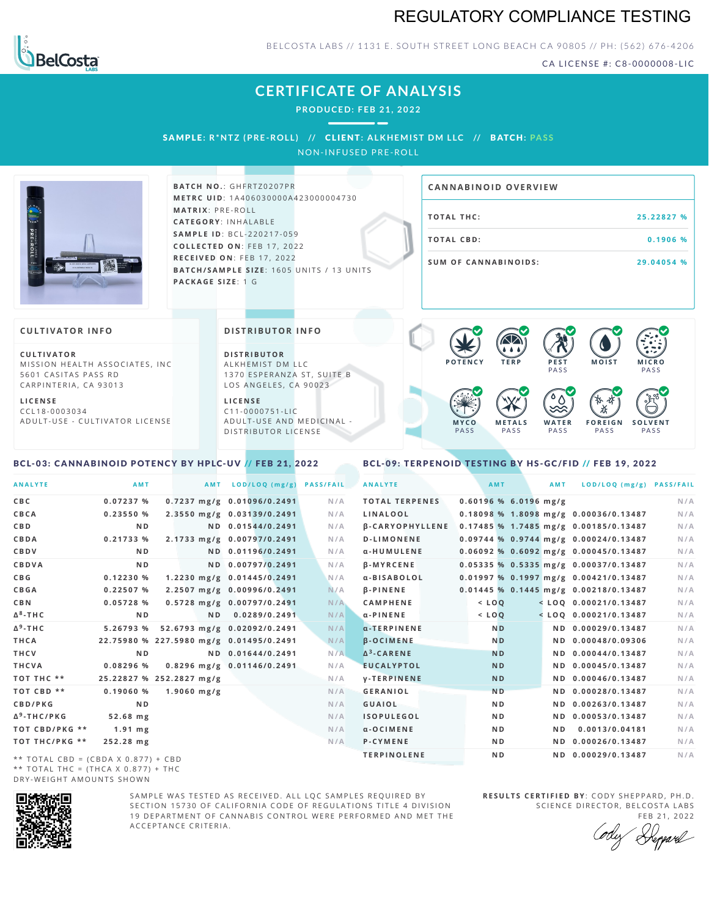## REGULATORY COMPLIANCE TESTING



BELCOSTA LABS // 1131 E. SOUTH STREET LONG BEACH CA 90805 // PH: (562) 676-4206

CA LICENSE #: C8-0000008-LIC

**M O IS T M IC R O**

**F O R E I G N** PA S S

祇

**PASS** 

**S O L V E N T** PA S S

## **CERTIFICATE OF ANALYSIS**

**PRODUCED: F EB 21, 2022**

SAMPL E **: R\*NTZ (PRE -ROL L ) //** CL I ENT**: A LKHEMI ST DM L LC //** BATCH**: PA S S** NON-INFUSED PRE-ROLL



**BATCH NO.: GHFRTZ0207PR M E T R C U ID** :1 A 4 0 6 0 3 0 0 0 0 A 4 2 3 0 0 0 0 0 4 7 3 0 **M AT R I X** :P R E - R O L L **CAT E G O R Y** : I N H A L A B L E **SA M P L E I D** :B C L - 2 2 0 2 1 7 - 0 5 9 **C O L L E C T E D O N** :F E B 1 7 , 2 0 2 2 **R E C E I V E D O N** : F E B 1 7 , 2 0 2 2 **BATCH/SAMPLE SIZE:** 1605 UNITS / 13 UNITS **PAC KA G E S I Z E** : 1 G

# **T O TAL T H C :2 5 . 2 2 8 2 7 % T O TAL CB D :0 . 1 9 0 6 % S U M O F CA N N ABI N O I D S : 2 9 . 0 4 0 5 4 % CA N N ABI N OID OVERVI EW**

PA S S

 $\bullet$  60 60 60 60

 $\bullet$  0.0 0.0 0.0

**W A T E R** PA S S

#### **CULTIVATOR I N FO**

**C U L T I VAT O R** MISSION HEALTH ASSOCIATES, INC. 5601 CASITAS PASS RD CARPINTERIA, CA 93013

**L I C E N S E** C C L 1 8 - 0 0 0 3 0 3 4 A D U L T - U S E - C U L T I V A T O R L I C E N S E

#### **DI STRIBUTOR I N FO**

**D I S T R IB U T O R** ALKHEMIST DM LLC 1370 ESPERANZA ST, SUITE B LOS ANGELES, CA 90023

**L I C E N S E** C 1 1 - 0 0 0 0 7 5 1 - L I C A D U L T - U S E A N D M E D I C I N A L -D ISTRIBUTOR LICENSE

#### <span id="page-0-0"></span>BCL-03: CANNABINOID POTENCY BY HPLC-UV // FEB 21, 2022

### <span id="page-0-1"></span>BCL-09: TERPENOID TESTING BY HS-GC/FID // FEB 19, 2022

**M E T A L S** PA S S

**M Y C O** PA S S

**P O T E N C Y T E R P P E S T**

| <b>ANALYTE</b>                                | AMT            |                          | AMT LOD/LOQ (mg/g)                      | <b>PASS/FAIL</b> | <b>ANALYTE</b>         | <b>AMT</b>              | <b>AMT</b> | LOD/LOQ (mg/g) PASS/FAIL                |     |
|-----------------------------------------------|----------------|--------------------------|-----------------------------------------|------------------|------------------------|-------------------------|------------|-----------------------------------------|-----|
| C B C                                         | 0.07237 %      |                          | $0.7237$ mg/g $0.01096/0.2491$          | N/A              | <b>TOTAL TERPENES</b>  | $0.60196$ % 6.0196 mg/g |            |                                         | N/A |
| CBCA                                          | 0.23550%       |                          | 2.3550 mg/g 0.03139/0.2491              | N/A              | LINALOOL               |                         |            | $0.18098$ % 1.8098 mg/g 0.00036/0.13487 | N/A |
| C B D                                         | N <sub>D</sub> |                          | ND 0.01544/0.2491                       | N/A              | <b>B-CARYOPHYLLENE</b> |                         |            | 0.17485 % 1.7485 mg/g 0.00185/0.13487   | N/A |
| CBDA                                          | 0.21733 %      |                          | 2.1733 mg/g 0.00797/0.2491              | N/A              | <b>D-LIMONENE</b>      |                         |            | $0.09744$ % 0.9744 mg/g 0.00024/0.13487 | N/A |
| <b>CBDV</b>                                   | N <sub>D</sub> |                          | ND 0.01196/0.2491                       | N/A              | α-HUMULENE             |                         |            | 0.06092 % 0.6092 mg/g 0.00045/0.13487   | N/A |
| CBDVA                                         | N <sub>D</sub> |                          | ND 0.00797/0.2491                       | N/A              | <b>B-MYRCENE</b>       |                         |            | 0.05335 % 0.5335 mg/g 0.00037/0.13487   | N/A |
| C B G                                         | 0.12230%       |                          | 1.2230 mg/g 0.01445/0.2491              | N/A              | a-BISABOLOL            |                         |            | $0.01997$ % 0.1997 mg/g 0.00421/0.13487 | N/A |
| CBGA                                          | 0.22507%       |                          | 2.2507 mg/g 0.00996/0.2491              | N/A              | <b>B-PINENE</b>        |                         |            | 0.01445 % 0.1445 mg/g 0.00218/0.13487   | N/A |
| C B N                                         | 0.05728%       |                          | 0.5728 mg/g 0.00797/0.2491              | N/A              | <b>CAMPHENE</b>        | $<$ LOO                 |            | $<$ LOQ 0.00021/0.13487                 | N/A |
| Δ <sup>8</sup> -ΤΗ C                          | N <sub>D</sub> |                          | ND 0.0289/0.2491                        | N/A              | $\alpha$ - PINENE      | $<$ LOQ                 |            | $<$ LOQ 0.00021/0.13487                 | N/A |
| Δ <sup>9</sup> -ΤΗ C                          | 5.26793 %      |                          | 52.6793 mg/g 0.02092/0.2491             | N/A              | $\alpha$ -TERPINENE    | N <sub>D</sub>          |            | ND 0.00029/0.13487                      | N/A |
| THCA                                          |                |                          | 22.75980 % 227.5980 mg/g 0.01495/0.2491 | N/A              | <b>B-OCIMENE</b>       | N <sub>D</sub>          |            | ND 0.00048/0.09306                      | N/A |
| THCV                                          | N <sub>D</sub> |                          | ND 0.01644/0.2491                       | N/A              | $\Delta^3$ -CARENE     | <b>ND</b>               |            | ND 0.00044/0.13487                      | N/A |
| THCVA                                         | 0.08296 %      |                          | 0.8296 mg/g 0.01146/0.2491              | N/A              | <b>EUCALYPTOL</b>      | <b>ND</b>               |            | ND 0.00045/0.13487                      | N/A |
| тот тнс **                                    |                | 25.22827 % 252.2827 mg/g |                                         | N/A              | <b>V-TERPINENE</b>     | <b>ND</b>               |            | ND 0.00046/0.13487                      | N/A |
| ТОТ СВD **                                    | 0.19060%       | $1.9060$ mg/g            |                                         | N/A              | GERANIOL               | N <sub>D</sub>          |            | ND 0.00028/0.13487                      | N/A |
| <b>CBD/PKG</b>                                | N <sub>D</sub> |                          |                                         | N/A              | <b>GUAIOL</b>          | N <sub>D</sub>          |            | ND 0.00263/0.13487                      | N/A |
| Δ <sup>9</sup> -THC/PKG                       | 52.68 mg       |                          |                                         | N/A              | <b>ISOPULEGOL</b>      | N <sub>D</sub>          |            | ND 0.00053/0.13487                      | N/A |
| ТОТ СВD/РКG **                                | $1.91$ mg      |                          |                                         | N/A              | $\alpha$ -OCIMENE      | N <sub>D</sub>          | N D        | 0.0013/0.04181                          | N/A |
| ТОТ ТНС/РКG **                                | 252.28 mg      |                          |                                         | N/A              | P-CYMENE               | N <sub>D</sub>          |            | ND 0.00026/0.13487                      | N/A |
| $\star\star$ TOTAL CRD = (CRDA V 0.077) + CRD |                |                          |                                         |                  | <b>TERPINOLENE</b>     | N <sub>D</sub>          |            | ND 0.00029/0.13487                      | N/A |

 $TOTAL$  CBD = (CBDA X 0.877) + CBD  $**$  TOTAL THC = (THCA X 0.877) + THC DRY-WEIGHT AMOUNTS SHOWN



SAMPLE WAS TESTED AS RECEIVED. ALL LOC SAMPLES REQUIRED BY SECTION 15730 OF CALIFORNIA CODE OF REGULATIONS TITLE 4 DIVISION 19 DEPARTMENT OF CANNABIS CONTROL WERE PERFORMED AND MET THE A C C E P T A N C E C R I T E R I A .

**R E S U L T S C E R T I F I E D BY** : C O D Y S H E P P A R D ,P H .D . SCIENCE DIRECTOR, BELCOSTA LABS

FEB 21, 2022<br>*Repard*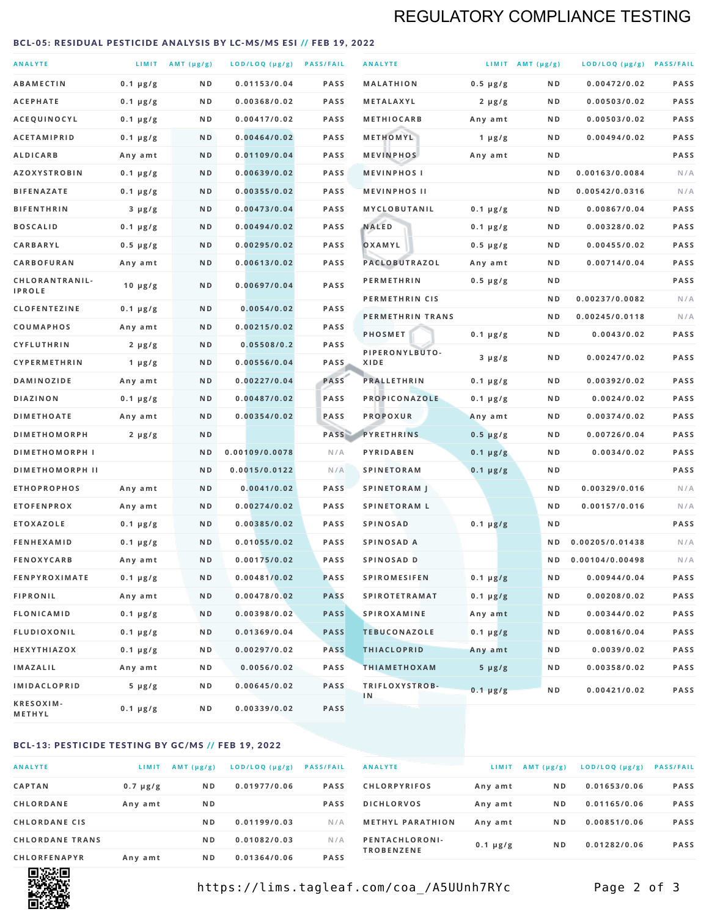## REGULATORY COMPLIANCE TESTING

#### <span id="page-1-0"></span>BCL-05: RESIDUAL PESTICIDE ANALYSIS BY LC-MS/MS ESI // FEB 19, 2022

| <b>ANALYTE</b>                  |                  | LIMIT $AMT (\mu g/g)$ | LOD/LOQ (µg/g) PASS/FAIL |             | <b>ANALYTE</b>         |               | LIMIT AMT $(\mu g/g)$ | LOD/LOQ (µg/g) PASS/FAIL |             |
|---------------------------------|------------------|-----------------------|--------------------------|-------------|------------------------|---------------|-----------------------|--------------------------|-------------|
| <b>ABAMECTIN</b>                | $0.1 \mu g/g$    | N D                   | 0.01153/0.04             | <b>PASS</b> | <b>MALATHION</b>       | $0.5 \mu g/g$ | N D                   | 0.00472/0.02             | <b>PASS</b> |
| <b>ACEPHATE</b>                 | $0.1 \mu g/g$    | N D                   | 0.00368/0.02             | PASS        | <b>METALAXYL</b>       | $2 \mu g/g$   | N D                   | 0.00503/0.02             | PASS        |
| ACEQUINOCYL                     | $0.1 \mu g/g$    | N D                   | 0.00417/0.02             | <b>PASS</b> | <b>METHIOCARB</b>      | Any amt       | N D                   | 0.00503/0.02             | PASS        |
| <b>ACETAMIPRID</b>              | $0.1 \mu g/g$    | N D                   | 0.00464/0.02             | <b>PASS</b> | METHOMYL               | 1 $\mu$ g/g   | N D                   | 0.00494/0.02             | PASS        |
| <b>ALDICARB</b>                 | Any amt          | N D                   | 0.01109/0.04             | <b>PASS</b> | <b>MEVINPHOS</b>       | Any amt       | N D                   |                          | PASS        |
| <b>AZOXYSTROBIN</b>             | $0.1 \mu g/g$    | N D                   | 0.00639/0.02             | PASS        | <b>MEVINPHOSI</b>      |               | N D                   | 0.00163/0.0084           | N/A         |
| <b>BIFENAZATE</b>               | $0.1 \mu g/g$    | N D                   | 0.00355/0.02             | <b>PASS</b> | <b>MEVINPHOS II</b>    |               | N D                   | 0.00542/0.0316           | N/A         |
| <b>BIFENTHRIN</b>               | $3 \mu g/g$      | N D                   | 0.00473/0.04             | <b>PASS</b> | MYCLOBUTANIL           | $0.1 \mu g/g$ | N D                   | 0.00867/0.04             | PASS        |
| <b>BOSCALID</b>                 | $0.1 \mu g/g$    | N D                   | 0.00494/0.02             | <b>PASS</b> | <b>NALED</b>           | $0.1 \mu g/g$ | N D                   | 0.00328/0.02             | PASS        |
| CARBARYL                        | $0.5 \mu g/g$    | N D                   | 0.00295/0.02             | PASS        | OXAMYL                 | $0.5 \mu g/g$ | N D                   | 0.00455/0.02             | PASS        |
| CARBOFURAN                      | Any amt          | N D                   | 0.00613/0.02             | <b>PASS</b> | PACLOBUTRAZOL          | Any amt       | N D                   | 0.00714/0.04             | PASS        |
| CHLORANTRANIL-<br><b>IPROLE</b> | $10 \mu g/g$     | N D                   | 0.00697/0.04             | PASS        | <b>PERMETHRIN</b>      | $0.5 \mu g/g$ | N D                   |                          | PASS        |
| <b>CLOFENTEZINE</b>             | $0.1 \mu g/g$    | N D                   | 0.0054/0.02              | <b>PASS</b> | PERMETHRIN CIS         |               | N D                   | 0.00237/0.0082           | N/A         |
| <b>COUMAPHOS</b>                | Any amt          | N D                   | 0.00215/0.02             | <b>PASS</b> | PERMETHRIN TRANS       |               | N D                   | 0.00245/0.0118           | N/A         |
| <b>CYFLUTHRIN</b>               | $2 \mu g/g$      | N D                   | 0.05508/0.2              | <b>PASS</b> | <b>PHOSMET</b>         | $0.1 \mu g/g$ | N D                   | 0.0043/0.02              | PASS        |
| <b>CYPERMETHRIN</b>             | 1 $\mu$ g/g      | ND                    | 0.00556/0.04             | <b>PASS</b> | PIPERONYLBUTO-<br>XIDE | $3 \mu g/g$   | N D                   | 0.00247/0.02             | PASS        |
| <b>DAMINOZIDE</b>               | Any amt          | N D                   | 0.00227/0.04             | PASS        | <b>PRALLETHRIN</b>     | $0.1 \mu g/g$ | N D                   | 0.00392/0.02             | PASS        |
| DIAZINON                        | $0.1 \mu g/g$    | N D                   | 0.00487/0.02             | PASS        | PROPICONAZOLE          | $0.1 \mu g/g$ | N D                   | 0.0024/0.02              | PASS        |
| <b>DIMETHOATE</b>               | Any amt          | N D                   | 0.00354/0.02             | PASS        | <b>PROPOXUR</b>        | Any amt       | N D                   | 0.00374/0.02             | PASS        |
| <b>DIMETHOMORPH</b>             | $2 \mu g/g$      | N D                   |                          | PASS        | <b>PYRETHRINS</b>      | $0.5 \mu g/g$ | N D                   | 0.00726/0.04             | PASS        |
| <b>DIMETHOMORPH I</b>           |                  | N D                   | 0.00109/0.0078           | N/A         | PYRIDABEN              | $0.1 \mu g/g$ | N D                   | 0.0034/0.02              | PASS        |
| <b>DIMETHOMORPH II</b>          |                  | ND                    | 0.0015/0.0122            | N/A         | <b>SPINETORAM</b>      | $0.1 \mu g/g$ | N D                   |                          | PASS        |
| <b>ETHOPROPHOS</b>              | Any amt          | N D                   | 0.0041/0.02              | <b>PASS</b> | <b>SPINETORAM J</b>    |               | N D                   | 0.00329/0.016            | N/A         |
| <b>ETOFENPROX</b>               | Any amt          | N D                   | 0.00274/0.02             | PASS        | <b>SPINETORAM L</b>    |               | N D                   | 0.00157/0.016            | N/A         |
| <b>ETOXAZOLE</b>                | $0.1 \mu g/g$    | N D                   | 0.00385/0.02             | <b>PASS</b> | <b>SPINOSAD</b>        | $0.1 \mu g/g$ | N D                   |                          | PASS        |
| <b>FENHEXAMID</b>               | $0.1 \mu g/g$    | N D                   | 0.01055/0.02             | <b>PASS</b> | SPINOSAD A             |               | N D                   | 0.00205/0.01438          | N/A         |
| <b>FENOXYCARB</b>               | Any amt          | N D                   | 0.00175/0.02             | <b>PASS</b> | SPINOSAD D             |               | N D                   | 0.00104/0.00498          | N/A         |
| <b>FENPYROXIMATE</b>            | $0.1 \mu g/g$    | N D                   | 0.00481/0.02             | PASS        | <b>SPIROMESIFEN</b>    | $0.1 \mu g/g$ | N D                   | 0.00944/0.04             | PASS        |
| <b>FIPRONIL</b>                 | Any amt          | N D                   | 0.00478/0.02             | <b>PASS</b> | <b>SPIROTETRAMAT</b>   | $0.1 \mu g/g$ | N D                   | 0.00208/0.02             | PASS        |
| FLONICAMID                      | $0.1 \mu g/g$    | N D                   | 0.00398/0.02             | <b>PASS</b> | <b>SPIROXAMINE</b>     | Any amt       | N D                   | 0.00344/0.02             | PASS        |
| <b>FLUDIOXONIL</b>              | $0.1 \mu g/g$    | N D                   | 0.01369/0.04             | <b>PASS</b> | <b>TEBUCONAZOLE</b>    | $0.1 \mu g/g$ | N D                   | 0.00816/0.04             | PASS        |
| HEXYTHIAZOX                     | $0.1 \, \mu g/g$ | N D                   | 0.00297/0.02             | <b>PASS</b> | <b>THIACLOPRID</b>     | Any amt       | N D                   | 0.0039/0.02              | PASS        |
| <b>IMAZALIL</b>                 | Any amt          | N D                   | 0.0056/0.02              | PASS        | <b>THIAMETHOXAM</b>    | $5 \mu g/g$   | N D                   | 0.00358/0.02             | PASS        |
| <b>IMIDACLOPRID</b>             | $5 \mu g/g$      | N D                   | 0.00645/0.02             | <b>PASS</b> | TRIFLOXYSTROB-         | $0.1 \mu g/g$ | N D                   | 0.00421/0.02             | PASS        |
| KRESOXIM-<br><b>METHYL</b>      | $0.1 \mu g/g$    | N D                   | 0.00339/0.02             | <b>PASS</b> | 1N                     |               |                       |                          |             |

#### BCL-13: PESTICIDE TESTING BY GC/MS // FEB 19, 2022

| <b>ANALYTE</b>         | LIMIT         | $AMT$ ( $\mu g/g$ ) | LOD/LOQ (µg/g) | <b>PASS/FAIL</b> |
|------------------------|---------------|---------------------|----------------|------------------|
| <b>CAPTAN</b>          | $0.7 \mu g/g$ | N <sub>D</sub>      | 0.01977/0.06   | <b>PASS</b>      |
| CHLORDANE              | Any amt       | N <sub>D</sub>      |                | <b>PASS</b>      |
| <b>CHLORDANE CIS</b>   |               | N <sub>D</sub>      | 0.01199/0.03   | N/A              |
| <b>CHLORDANE TRANS</b> |               | N <sub>D</sub>      | 0.01082/0.03   | N/A              |
| <b>CHLORFENAPYR</b>    | Any amt       | N <sub>D</sub>      | 0.01364/0.06   | <b>PASS</b>      |

| <b>ANALYTE</b>                      | LIMIT         | AMT (µg/g)     | $LOD/LOQ$ ( $\mu g/g$ ) | <b>PASS/FAIL</b> |
|-------------------------------------|---------------|----------------|-------------------------|------------------|
| <b>CHLORPYRIFOS</b>                 | Any amt       | N D            | 0.01653/0.06            | <b>PASS</b>      |
| <b>DICHLORVOS</b>                   | Any amt       | N <sub>D</sub> | 0.01165/0.06            | <b>PASS</b>      |
| <b>METHYL PARATHION</b>             | Any amt       | N <sub>D</sub> | 0.00851/0.06            | <b>PASS</b>      |
| PENTACHLORONI-<br><b>TROBENZENE</b> | $0.1 \mu g/g$ | N <sub>D</sub> | 0.01282/0.06            | <b>PASS</b>      |